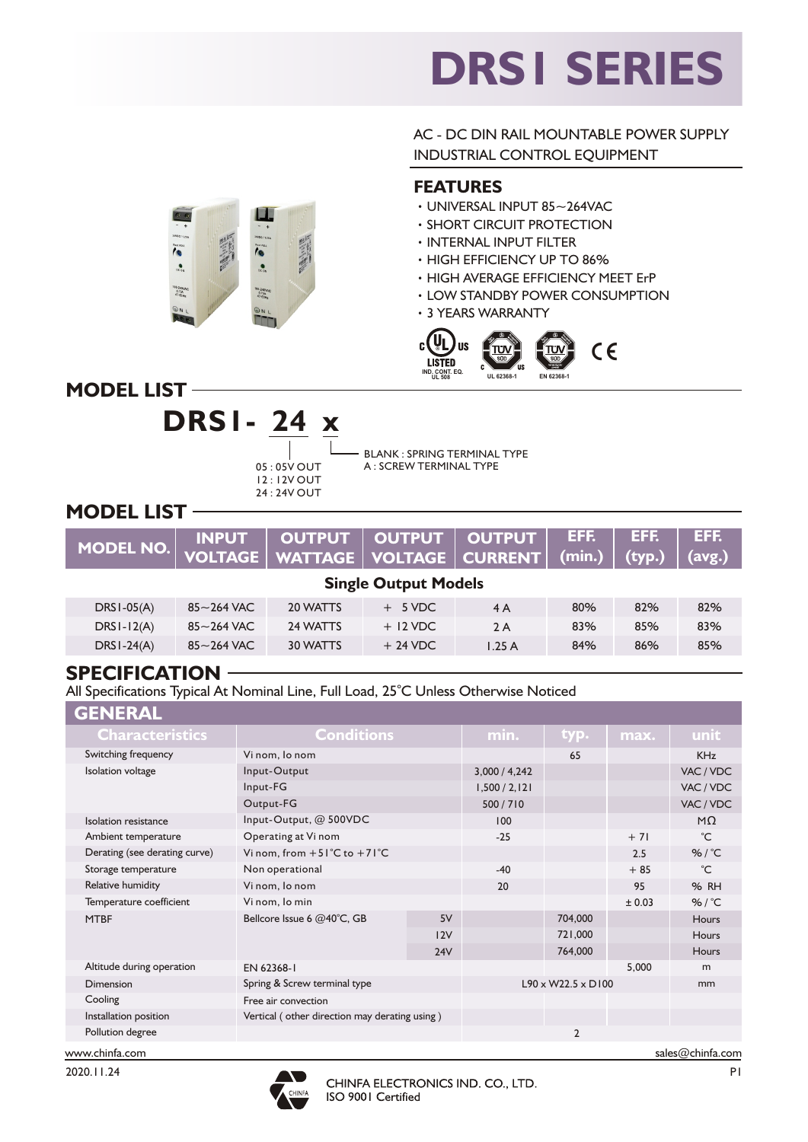# **DRS1 SERIES**

AC - DC DIN RAIL MOUNTABLE POWER SUPPLY INDUSTRIAL CONTROL EQUIPMENT

#### **FEATURES**

- ‧UNIVERSAL INPUT 85~264VAC
- ‧SHORT CIRCUIT PROTECTION
- ‧INTERNAL INPUT FILTER
- ‧HIGH EFFICIENCY UP TO 86%
- ‧HIGH AVERAGE EFFICIENCY MEET ErP
- ‧LOW STANDBY POWER CONSUMPTION
- ‧3 YEARS WARRANTY



**MODEL LIST**

Te a

100-240V



100-240/641

BLANK : SPRING TERMINAL TYPE A : SCREW TERMINAL TYPE

### **MODEL LIST**

|  | MODEL NO.   INPUT   OUTPUT   OUTPUT   OUTPUT   EFF.   EFF.   EFF.   EFF.   EFF.   EFF.   INPUT   OUTPUT   OUTPUT   CHE.   EFF.   EFF.   EFF.   INPUT   VOLTAGE   VOLTAGE   CURRENT   (min.)   (typ.)   (avg.) |  |  |  |  |  |  |  |
|--|---------------------------------------------------------------------------------------------------------------------------------------------------------------------------------------------------------------|--|--|--|--|--|--|--|
|--|---------------------------------------------------------------------------------------------------------------------------------------------------------------------------------------------------------------|--|--|--|--|--|--|--|

## **Single Output Models**

| $DRS1-05(A)$ | $85 - 264$ VAC           | 20 WATTS | $+ 5$ VDC  | 4 A   | 80% | 82% | 82% |  |
|--------------|--------------------------|----------|------------|-------|-----|-----|-----|--|
| $DRS1-I2(A)$ | $85 - 264$ VAC           | 24 WATTS | $+$ 12 VDC | 2A    | 83% | 85% | 83% |  |
| $DRS1-24(A)$ | $85\mathtt{\sim}264$ VAC | 30 WATTS | $+24$ VDC  | 1.25A | 84% | 86% | 85% |  |
|              |                          |          |            |       |     |     |     |  |

#### **SPECIFICATION**

All Specifications Typical At Nominal Line, Full Load, 25°C Unless Otherwise Noticed

| <b>GENERAL</b>                |                                                 |         |                                |                |                 |              |
|-------------------------------|-------------------------------------------------|---------|--------------------------------|----------------|-----------------|--------------|
| <b>Characteristics</b>        | <b>Conditions</b>                               | min.    | typ.                           | max.           | unit            |              |
| Switching frequency           | Vi nom, lo nom                                  |         | 65                             |                | <b>KHz</b>      |              |
| <b>Isolation</b> voltage      | Input-Output                                    |         | 3,000 / 4,242                  |                |                 | VAC / VDC    |
|                               | Input-FG                                        |         | 1,500 / 2,121                  |                |                 | VAC / VDC    |
|                               | Output-FG                                       | 500/710 |                                |                | VAC / VDC       |              |
| Isolation resistance          | Input-Output, @ 500VDC                          |         | 100                            |                |                 | $M\Omega$    |
| Ambient temperature           | Operating at Vi nom                             | $-25$   |                                | $+71$          | $^{\circ}C$     |              |
| Derating (see derating curve) | Vi nom, from $+51^{\circ}$ C to $+71^{\circ}$ C |         |                                | 2.5            | %/ $^{\circ}$ C |              |
| Storage temperature           | Non operational                                 | $-40$   |                                | $+85$          | $^{\circ}C$     |              |
| Relative humidity             | Vi nom, lo nom                                  | 20      |                                | 95             | % RH            |              |
| Temperature coefficient       | Vi nom, lo min                                  |         |                                | ± 0.03         | %/ $°C$         |              |
| <b>MTBF</b>                   | Bellcore Issue 6 @40°C, GB                      | 5V      |                                | 704,000        |                 | <b>Hours</b> |
|                               |                                                 | 12V     |                                | 721,000        |                 | <b>Hours</b> |
|                               |                                                 | 24V     |                                | 764,000        |                 | Hours        |
| Altitude during operation     | EN 62368-1                                      |         |                                | 5,000          | m               |              |
| Dimension                     | Spring & Screw terminal type                    |         | $L90 \times W22.5 \times D100$ |                | mm              |              |
| Cooling                       | Free air convection                             |         |                                |                |                 |              |
| Installation position         | Vertical (other direction may derating using)   |         |                                |                |                 |              |
| Pollution degree              |                                                 |         |                                | $\overline{2}$ |                 |              |
|                               |                                                 |         |                                |                |                 |              |



www.chinfa.com sales@chinfa.com sales@chinfa.com sales@chinfa.com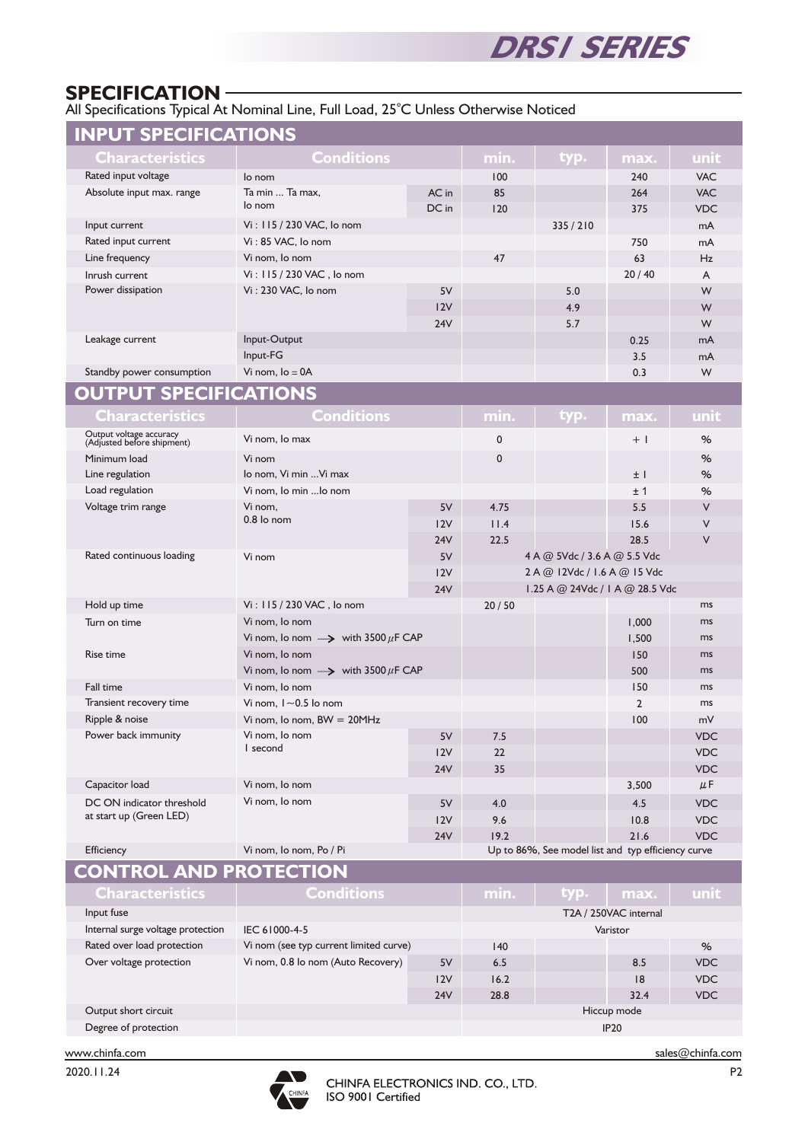

#### **SPECIFICATION**

All Specifications Typical At Nominal Line, Full Load, 25°C Unless Otherwise Noticed

| <b>INPUT SPECIFICATIONS</b>                           |                                                    |               |                              |                                 |            |            |
|-------------------------------------------------------|----------------------------------------------------|---------------|------------------------------|---------------------------------|------------|------------|
| Characteristics                                       | <b>Conditions</b>                                  | min.          | typ.                         | max.                            | unit       |            |
| Rated input voltage                                   | lo nom                                             | 100           |                              | 240                             | <b>VAC</b> |            |
| Absolute input max. range                             | Ta min  Ta max.                                    | AC in         | 85                           |                                 | 264        | <b>VAC</b> |
|                                                       | lo nom                                             | DC in         | 120                          |                                 | 375        | <b>VDC</b> |
| Input current                                         | Vi: 115 / 230 VAC, lo nom                          |               |                              | 335/210                         |            | mA         |
| Rated input current                                   | Vi: 85 VAC, lo nom                                 |               |                              |                                 | 750        | mA         |
| Line frequency                                        | Vi nom, lo nom                                     |               | 47                           |                                 | 63         | Hz         |
| Inrush current                                        | Vi: 115 / 230 VAC, lo nom                          |               |                              |                                 | 20/40      | A          |
| Power dissipation                                     | Vi: 230 VAC, lo nom                                | 5V            |                              | 5.0                             |            | W          |
|                                                       |                                                    | 12V           |                              | 4.9                             |            | W          |
|                                                       |                                                    | 24V           |                              | 5.7                             |            | W          |
| Leakage current                                       | Input-Output                                       |               |                              |                                 | 0.25       | mA         |
|                                                       | Input-FG                                           |               |                              |                                 | 3.5        | mA         |
| Standby power consumption                             | Vi nom, $Io = 0A$                                  |               |                              |                                 | 0.3        | W          |
| <b>OUTPUT SPECIFICATIONS</b>                          |                                                    |               |                              |                                 |            |            |
| Characteristics                                       | <b>Conditions</b>                                  |               | min.                         | typ.                            | max.       | unit       |
| Output voltage accuracy<br>(Adjusted before shipment) | Vi nom, lo max                                     |               |                              |                                 | $+$        | %          |
| Minimum load                                          | Vi nom                                             | $\mathbf 0$   |                              |                                 | %          |            |
| Line regulation                                       | lo nom, Vi min  Vi max                             |               |                              |                                 | $±$ $ $    | %          |
| Load regulation                                       | Vi nom, lo min  lo nom                             |               |                              | ±1                              | %          |            |
| Voltage trim range                                    | Vi nom.                                            | 5V            | 4.75                         |                                 | 5.5        | $\vee$     |
|                                                       | $0.8$ lo nom                                       | 12V           | 11.4                         |                                 | 15.6       | ٧          |
|                                                       |                                                    | 24V           | 22.5                         |                                 | 28.5       | V          |
| Rated continuous loading                              | Vi nom                                             | 5V            | 4 A @ 5Vdc / 3.6 A @ 5.5 Vdc |                                 |            |            |
|                                                       |                                                    | 12V           |                              | 2 A @ 12Vdc / 1.6 A @ 15 Vdc    |            |            |
|                                                       |                                                    | 24V           |                              | 1.25 A @ 24Vdc / 1 A @ 28.5 Vdc |            |            |
| Hold up time                                          | Vi: 115 / 230 VAC, lo nom                          |               | 20/50                        |                                 |            | ms         |
| Turn on time                                          | Vi nom, lo nom                                     |               |                              |                                 | 1,000      | ms         |
|                                                       | Vi nom, lo nom $\rightarrow$ with 3500 $\mu$ F CAP |               |                              |                                 | 1,500      | ms         |
| Rise time                                             | Vi nom, lo nom                                     |               |                              |                                 | 150        | ms         |
|                                                       | Vi nom, lo nom $\rightarrow$ with 3500 $\mu$ F CAP |               |                              |                                 | 500        | ms<br>ms   |
| Fall time<br>Transient recovery time                  | Vi nom, lo nom<br>Vi nom, $1 \sim 0.5$ lo nom      |               |                              | 150<br>$\overline{2}$           | ms         |            |
| Ripple & noise                                        |                                                    |               |                              | 100                             | mV         |            |
| Power back immunity                                   | Vi nom, Io nom, $BW = 20MHz$<br>Vi nom, lo nom     |               | 7.5                          |                                 |            | <b>VDC</b> |
|                                                       | I second                                           | 5V<br>12V     | 22                           |                                 |            | <b>VDC</b> |
|                                                       |                                                    | <b>24V</b>    | 35                           |                                 |            | <b>VDC</b> |
| Capacitor load                                        | Vi nom, lo nom                                     |               |                              |                                 | 3,500      | $\mu$ F    |
| DC ON indicator threshold                             | Vi nom, lo nom                                     | $5\textrm{V}$ | 4.0                          |                                 | 4.5        | <b>VDC</b> |
| at start up (Green LED)                               |                                                    | 12V           | 9.6                          |                                 | 10.8       | <b>VDC</b> |
|                                                       |                                                    | <b>24V</b>    | 19.2                         |                                 | $21.6$     | <b>VDC</b> |
| Efficiency                                            | Vi nom, lo nom, Po / Pi                            |               |                              |                                 |            |            |
|                                                       | Up to 86%, See model list and typ efficiency curve |               |                              |                                 |            |            |

#### **CONTROL AND PROTECTION**

| <b>Characteristics</b>            | <b>Conditions</b>                      | min.                  | typ. | max. | unit        |            |
|-----------------------------------|----------------------------------------|-----------------------|------|------|-------------|------------|
| Input fuse                        |                                        | T2A / 250VAC internal |      |      |             |            |
| Internal surge voltage protection | IEC 61000-4-5                          | Varistor              |      |      |             |            |
| Rated over load protection        | Vi nom (see typ current limited curve) | 140                   |      |      | %           |            |
| Over voltage protection           | Vi nom, 0.8 lo nom (Auto Recovery)     | 5V                    | 6.5  |      | 8.5         | <b>VDC</b> |
|                                   |                                        | 12V                   | 16.2 |      | 8           | <b>VDC</b> |
|                                   |                                        | 24V                   | 28.8 |      | 32.4        | <b>VDC</b> |
| Output short circuit              |                                        |                       |      |      | Hiccup mode |            |
| Degree of protection              |                                        |                       |      |      | <b>IP20</b> |            |
|                                   |                                        |                       |      |      |             |            |



P2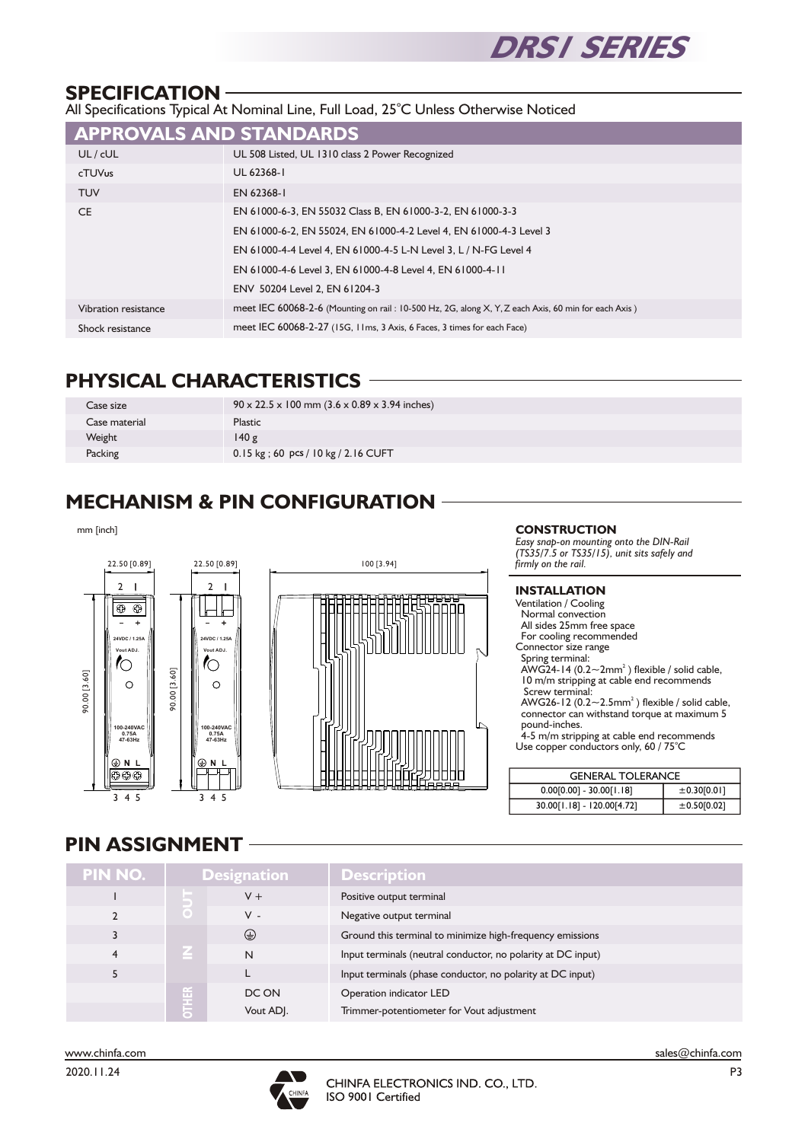

#### **SPECIFICATION**

All Specifications Typical At Nominal Line, Full Load, 25°C Unless Otherwise Noticed

| <b>APPROVALS AND STANDARDS</b> |                                                                                                     |
|--------------------------------|-----------------------------------------------------------------------------------------------------|
| UL / cUL                       | UL 508 Listed, UL 1310 class 2 Power Recognized                                                     |
| cTUVus                         | UL 62368-1                                                                                          |
| <b>TUV</b>                     | EN 62368-1                                                                                          |
| CE.                            | EN 61000-6-3, EN 55032 Class B, EN 61000-3-2, EN 61000-3-3                                          |
|                                | EN 61000-6-2, EN 55024, EN 61000-4-2 Level 4, EN 61000-4-3 Level 3                                  |
|                                | EN 61000-4-4 Level 4, EN 61000-4-5 L-N Level 3, L / N-FG Level 4                                    |
|                                | EN 61000-4-6 Level 3, EN 61000-4-8 Level 4, EN 61000-4-11                                           |
|                                | ENV 50204 Level 2, EN 61204-3                                                                       |
| Vibration resistance           | meet IEC 60068-2-6 (Mounting on rail: 10-500 Hz, 2G, along X, Y, Z each Axis, 60 min for each Axis) |
| Shock resistance               | meet IEC 60068-2-27 (15G, 11ms, 3 Axis, 6 Faces, 3 times for each Face)                             |

#### **PHYSICAL CHARACTERISTICS**

| Case size     | $90 \times 22.5 \times 100$ mm $(3.6 \times 0.89 \times 3.94$ inches) |
|---------------|-----------------------------------------------------------------------|
| Case material | <b>Plastic</b>                                                        |
| Weight        | 140g                                                                  |
| Packing       | 0.15 kg; 60 pcs / 10 kg / 2.16 CUFT                                   |

## **MECHANISM & PIN CONFIGURATION**

mm [inch]





#### **CONSTRUCTION**

*Easy snap-on mounting onto the DIN-Rail (TS35/7.5 or TS35/15), unit sits safeIy and firmly on the rail.*

#### **INSTALLATION** Ventilation / Cooling Normal convection All sides 25mm free space For cooling recommended Connector size range Spring terminal: AWG24-14 (0.2 $\sim$ 2mm<sup>2</sup>) flexible / solid cable, 10 m/m stripping at cable end recommends Screw terminal: AWG26-12  $(0.2 \sim 2.5$ mm<sup>2</sup>) flexible / solid cable, connector can withstand torque at maximum 5 pound-inches. 4-5 m/m stripping at cable end recommends Use copper conductors only, 60 / 75<sup>°</sup>C

| <b>GENERAL TOLERANCE</b>   |             |  |  |  |
|----------------------------|-------------|--|--|--|
| $0.00[0.00] - 30.00[1.18]$ | ±0.30[0.01] |  |  |  |
| 30.00[1.18] - 120.00[4.72] | ±0.50[0.02] |  |  |  |

#### **PIN ASSIGNMENT**

| PIN NO. |              | <b>Designation</b> | Description                                                  |
|---------|--------------|--------------------|--------------------------------------------------------------|
|         |              | $V +$              | Positive output terminal                                     |
|         | $\bigcirc$   | $V -$              | Negative output terminal                                     |
|         |              | $\odot$            | Ground this terminal to minimize high-frequency emissions    |
| 4       |              | N                  | Input terminals (neutral conductor, no polarity at DC input) |
|         |              |                    | Input terminals (phase conductor, no polarity at DC input)   |
|         |              | DC ON              | Operation indicator LED                                      |
|         | <b>OTHER</b> | Vout ADJ.          | Trimmer-potentiometer for Vout adjustment                    |

www.chinfa.com sales@chinfa.com sales@chinfa.com sales@chinfa.com 2020.11.24